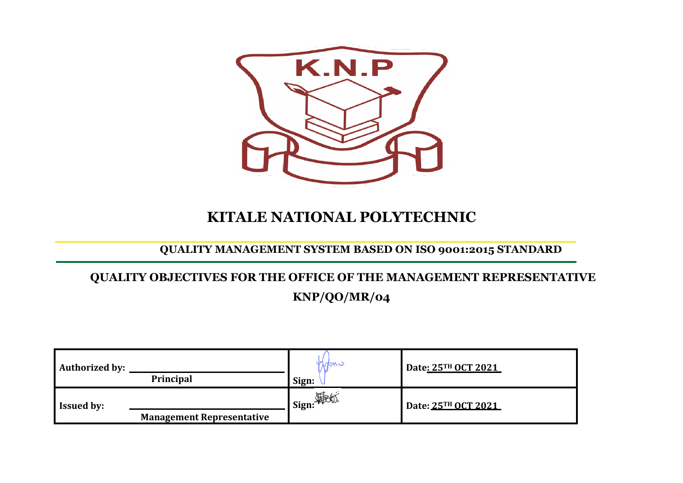

# **KITALE NATIONAL POLYTECHNIC**

### **QUALITY MANAGEMENT SYSTEM BASED ON ISO 9001:2015 STANDARD**

## **QUALITY OBJECTIVES FOR THE OFFICE OF THE MANAGEMENT REPRESENTATIVE KNP/QO/MR/04**

| Authorized by:    | Principal                        | Mani<br>Sign:    | Date: 25TH OCT 2021 |
|-------------------|----------------------------------|------------------|---------------------|
| <b>Issued by:</b> | <b>Management Representative</b> | <b>Sign:</b> 第6版 | Date: 25TH OCT 2021 |